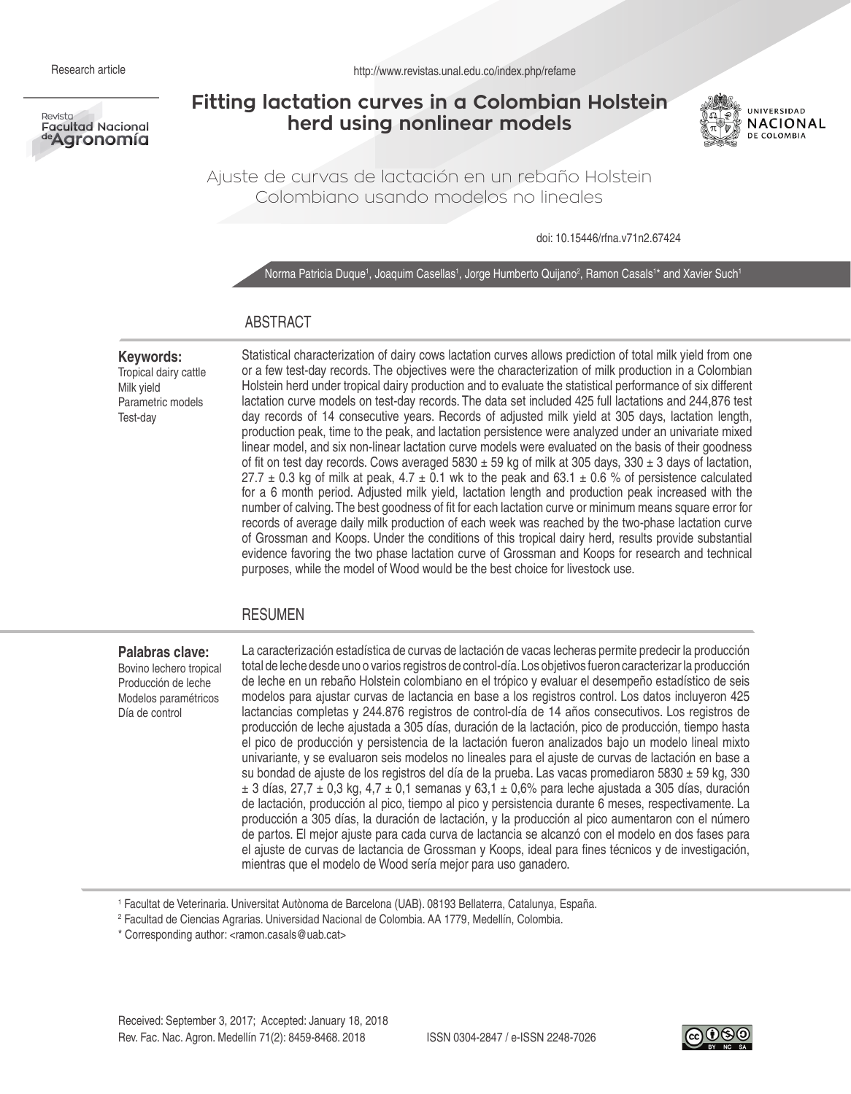

# **Fitting lactation curves in a Colombian Holstein herd using nonlinear models**



Ajuste de curvas de lactación en un rebaño Holstein Colombiano usando modelos no lineales

doi: 10.15446/rfna.v71n2.67424

Norma Patricia Duque1, Joaquim Casellas1, Jorge Humberto Quijano<sup>2</sup>, Ramon Casals1\* and Xavier Such1

# ABSTRACT

#### **Keywords:**

Tropical dairy cattle Milk yield Parametric models Test-day

Statistical characterization of dairy cows lactation curves allows prediction of total milk yield from one or a few test-day records. The objectives were the characterization of milk production in a Colombian Holstein herd under tropical dairy production and to evaluate the statistical performance of six different lactation curve models on test-day records. The data set included 425 full lactations and 244,876 test day records of 14 consecutive years. Records of adjusted milk yield at 305 days, lactation length, production peak, time to the peak, and lactation persistence were analyzed under an univariate mixed linear model, and six non-linear lactation curve models were evaluated on the basis of their goodness of fit on test day records. Cows averaged  $5830 \pm 59$  kg of milk at 305 days, 330  $\pm$  3 days of lactation, 27.7  $\pm$  0.3 kg of milk at peak, 4.7  $\pm$  0.1 wk to the peak and 63.1  $\pm$  0.6 % of persistence calculated for a 6 month period. Adjusted milk yield, lactation length and production peak increased with the number of calving. The best goodness of fit for each lactation curve or minimum means square error for records of average daily milk production of each week was reached by the two-phase lactation curve of Grossman and Koops. Under the conditions of this tropical dairy herd, results provide substantial evidence favoring the two phase lactation curve of Grossman and Koops for research and technical purposes, while the model of Wood would be the best choice for livestock use.

# RESUMEN

#### **Palabras clave:**  Bovino lechero tropical Producción de leche Modelos paramétricos Día de control

La caracterización estadística de curvas de lactación de vacas lecheras permite predecir la producción total de leche desde uno o varios registros de control-día. Los objetivos fueron caracterizar la producción de leche en un rebaño Holstein colombiano en el trópico y evaluar el desempeño estadístico de seis modelos para ajustar curvas de lactancia en base a los registros control. Los datos incluyeron 425 lactancias completas y 244.876 registros de control-día de 14 años consecutivos. Los registros de producción de leche ajustada a 305 días, duración de la lactación, pico de producción, tiempo hasta el pico de producción y persistencia de la lactación fueron analizados bajo un modelo lineal mixto univariante, y se evaluaron seis modelos no lineales para el ajuste de curvas de lactación en base a su bondad de ajuste de los registros del día de la prueba. Las vacas promediaron 5830 ± 59 kg, 330  $\pm$  3 días, 27,7  $\pm$  0,3 kg, 4,7  $\pm$  0,1 semanas y 63,1  $\pm$  0,6% para leche ajustada a 305 días, duración de lactación, producción al pico, tiempo al pico y persistencia durante 6 meses, respectivamente. La producción a 305 días, la duración de lactación, y la producción al pico aumentaron con el número de partos. El mejor ajuste para cada curva de lactancia se alcanzó con el modelo en dos fases para el ajuste de curvas de lactancia de Grossman y Koops, ideal para fines técnicos y de investigación, mientras que el modelo de Wood sería mejor para uso ganadero.

1 Facultat de Veterinaria. Universitat Autònoma de Barcelona (UAB). 08193 Bellaterra, Catalunya, España.

2 Facultad de Ciencias Agrarias. Universidad Nacional de Colombia. AA 1779, Medellín, Colombia.

\* Corresponding author: <ramon.casals@uab.cat>

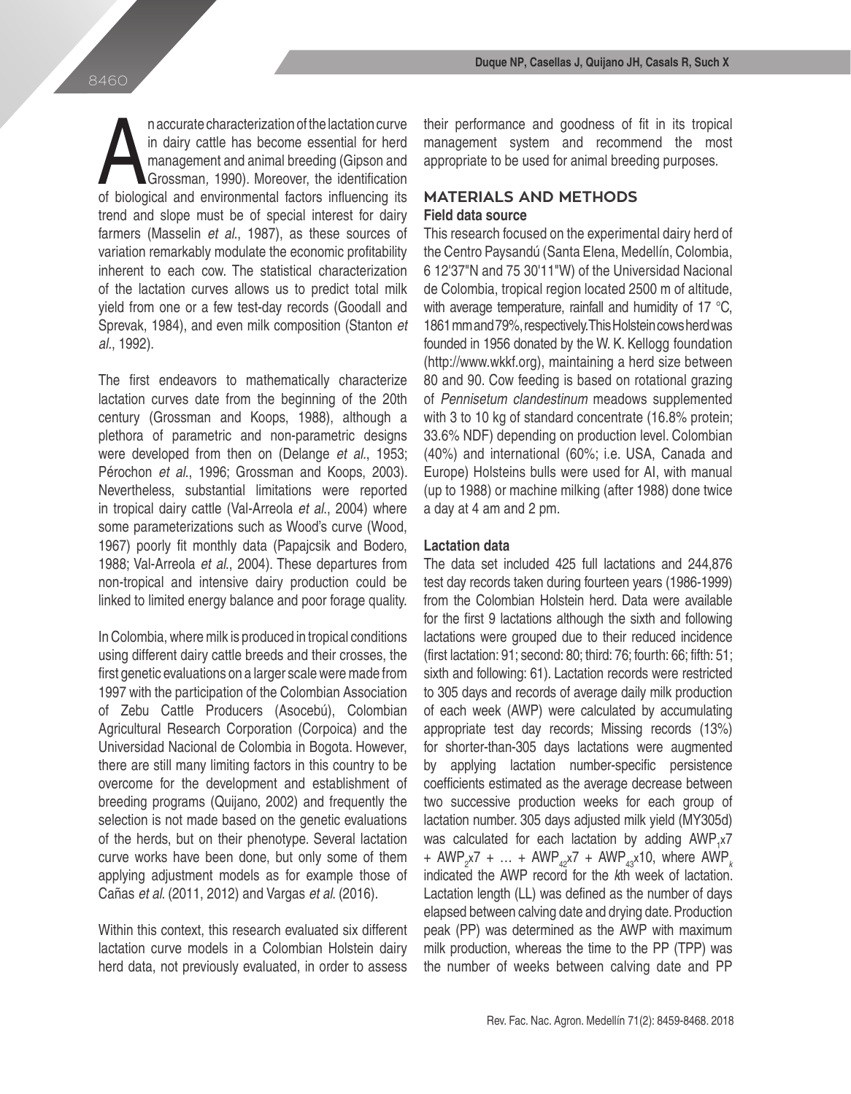n accurate characterization of the lactation curve<br>in dairy cattle has become essential for herd<br>management and animal breeding (Gipson and<br>Grossman, 1990). Moreover, the identification<br>of biological and environmental fact n accurate characterization of the lactation curve in dairy cattle has become essential for herd management and animal breeding (Gipson and Grossman*,* 1990). Moreover, the identification trend and slope must be of special interest for dairy farmers (Masselin *et al.*, 1987), as these sources of variation remarkably modulate the economic profitability inherent to each cow. The statistical characterization of the lactation curves allows us to predict total milk yield from one or a few test-day records (Goodall and Sprevak, 1984), and even milk composition (Stanton *et al.*, 1992).

The first endeavors to mathematically characterize lactation curves date from the beginning of the 20th century (Grossman and Koops, 1988), although a plethora of parametric and non-parametric designs were developed from then on (Delange *et al.*, 1953; Pérochon *et al*., 1996; Grossman and Koops, 2003). Nevertheless, substantial limitations were reported in tropical dairy cattle (Val-Arreola *et al*., 2004) where some parameterizations such as Wood's curve (Wood, 1967) poorly fit monthly data (Papajcsik and Bodero, 1988; Val-Arreola *et al*., 2004). These departures from non-tropical and intensive dairy production could be linked to limited energy balance and poor forage quality.

In Colombia, where milk is produced in tropical conditions using different dairy cattle breeds and their crosses, the first genetic evaluations on a larger scale were made from 1997 with the participation of the Colombian Association of Zebu Cattle Producers (Asocebú), Colombian Agricultural Research Corporation (Corpoica) and the Universidad Nacional de Colombia in Bogota. However, there are still many limiting factors in this country to be overcome for the development and establishment of breeding programs (Quijano, 2002) and frequently the selection is not made based on the genetic evaluations of the herds, but on their phenotype. Several lactation curve works have been done, but only some of them applying adjustment models as for example those of Cañas *et al*. (2011, 2012) and Vargas *et al*. (2016).

Within this context, this research evaluated six different lactation curve models in a Colombian Holstein dairy herd data, not previously evaluated, in order to assess their performance and goodness of fit in its tropical management system and recommend the most appropriate to be used for animal breeding purposes.

# **MATERIALS AND METHODS Field data source**

This research focused on the experimental dairy herd of the Centro Paysandú (Santa Elena, Medellín, Colombia, 6°12'37"N and 75°30'11"W) of the Universidad Nacional de Colombia, tropical region located 2500 m of altitude, with average temperature, rainfall and humidity of 17  $^{\circ}C$ , 1861 mm and 79%, respectively. This Holstein cows herd was founded in 1956 donated by the W. K. Kellogg foundation (http://www.wkkf.org), maintaining a herd size between 80 and 90. Cow feeding is based on rotational grazing of *Pennisetum clandestinum* meadows supplemented with 3 to 10 kg of standard concentrate (16.8% protein; 33.6% NDF) depending on production level. Colombian (40%) and international (60%; i.e. USA, Canada and Europe) Holsteins bulls were used for AI, with manual (up to 1988) or machine milking (after 1988) done twice a day at 4 am and 2 pm.

### **Lactation data**

The data set included 425 full lactations and 244,876 test day records taken during fourteen years (1986-1999) from the Colombian Holstein herd. Data were available for the first 9 lactations although the sixth and following lactations were grouped due to their reduced incidence (first lactation: 91; second: 80; third: 76; fourth: 66; fifth: 51; sixth and following: 61). Lactation records were restricted to 305 days and records of average daily milk production of each week (AWP) were calculated by accumulating appropriate test day records; Missing records (13%) for shorter-than-305 days lactations were augmented by applying lactation number-specific persistence coefficients estimated as the average decrease between two successive production weeks for each group of lactation number. 305 days adjusted milk yield (MY305d) was calculated for each lactation by adding  $AWP_{1}x7$ + AWP<sub>2</sub>x7 + ... + AWP<sub>42</sub>x7 + AWP<sub>43</sub>x10, where AWP<sub>k</sub> indicated the AWP record for the *k*th week of lactation. Lactation length (LL) was defined as the number of days elapsed between calving date and drying date. Production peak (PP) was determined as the AWP with maximum milk production, whereas the time to the PP (TPP) was the number of weeks between calving date and PP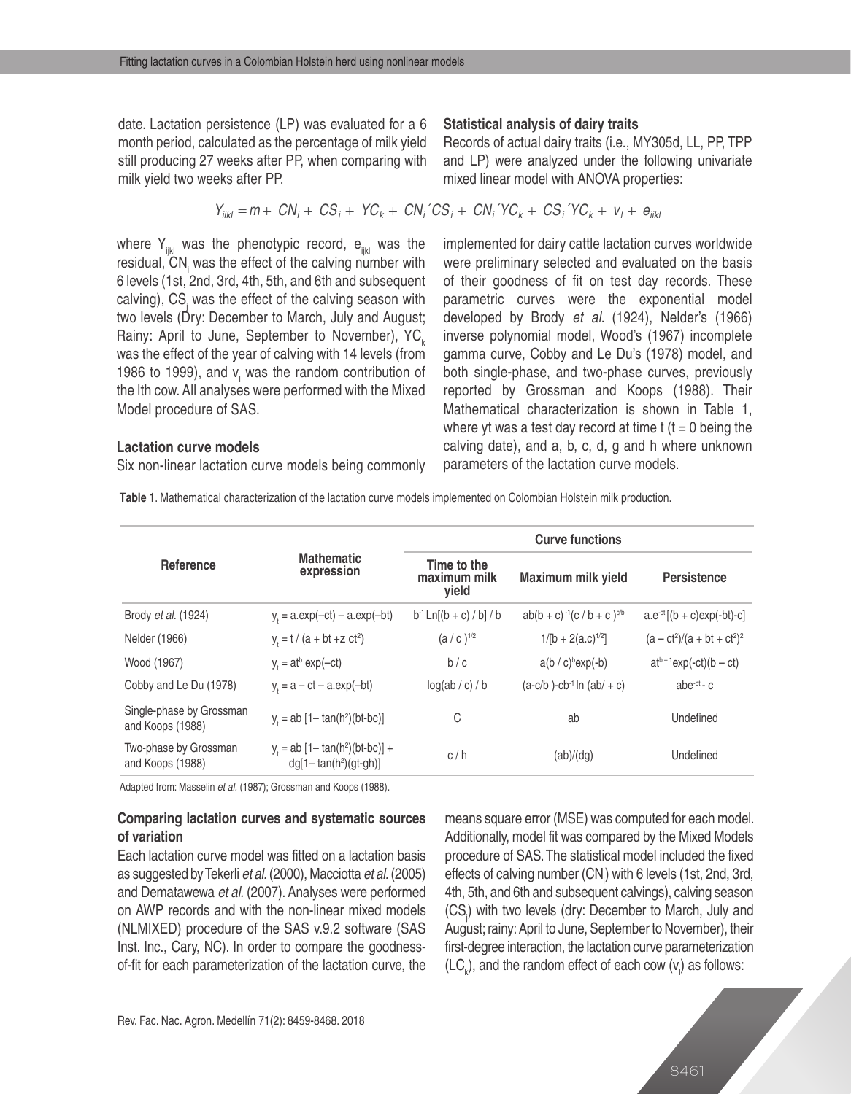date. Lactation persistence (LP) was evaluated for a 6 month period, calculated as the percentage of milk yield still producing 27 weeks after PP, when comparing with milk yield two weeks after PP.

## **Statistical analysis of dairy traits**

Records of actual dairy traits (i.e., MY305d, LL, PP, TPP and LP) were analyzed under the following univariate mixed linear model with ANOVA properties:

$$
Y_{iikl} = m + CN_i + CS_i + YC_k + CN_i \cdot CS_i + CN_i \cdot YC_k + CS_i \cdot YC_k + V_l + e_{iikl}
$$

where  $Y_{ijkl}$  was the phenotypic record,  $e_{ijkl}$  was the residual, CN<sub>i</sub> was the effect of the calving number with 6 levels (1st, 2nd, 3rd, 4th, 5th, and 6th and subsequent calving), CS<sub>j</sub> was the effect of the calving season with two levels (Dry: December to March, July and August; Rainy: April to June, September to November),  $YC_{k}$ was the effect of the year of calving with 14 levels (from 1986 to 1999), and  $v_1$  was the random contribution of the lth cow. All analyses were performed with the Mixed implemented for dairy cattle lactation curves worldwide were preliminary selected and evaluated on the basis of their goodness of fit on test day records. These parametric curves were the exponential model developed by Brody *et al*. (1924), Nelder's (1966) inverse polynomial model, Wood's (1967) incomplete gamma curve, Cobby and Le Du's (1978) model, and both single-phase, and two-phase curves, previously reported by Grossman and Koops (1988). Their Mathematical characterization is shown in Table 1, where yt was a test day record at time  $t$  ( $t = 0$  being the calving date), and a, b, c, d, g and h where unknown parameters of the lactation curve models.

#### **Lactation curve models**

Model procedure of SAS.

Six non-linear lactation curve models being commonly

**Table 1**. Mathematical characterization of the lactation curve models implemented on Colombian Holstein milk production.

|                                              |                                                                 | <b>Curve functions</b>               |                                           |                                |  |  |  |  |
|----------------------------------------------|-----------------------------------------------------------------|--------------------------------------|-------------------------------------------|--------------------------------|--|--|--|--|
| Reference                                    | <b>Mathematic</b><br>expression                                 | Time to the<br>maximum milk<br>yield | Maximum milk yield                        | <b>Persistence</b>             |  |  |  |  |
| Brody <i>et al.</i> (1924)                   | $y = a.exp(-ct) - a.exp(-bt)$                                   | $b^{-1}$ Ln[(b + c) / b] / b         | $ab(b + c)^{-1}(c/b + c)^{cb}$            | $a.e^{-ct}[(b + c)exp(-bt)-c]$ |  |  |  |  |
| Nelder (1966)                                | $y_t = t / (a + bt + z ct^2)$                                   | $(a/c)$ <sup>1/2</sup>               | $1/[b + 2(a.c)^{1/2}]$                    | $(a - ct^2)/(a + bt + ct^2)^2$ |  |  |  |  |
| Wood (1967)                                  | $y = at^b exp(-ct)$                                             | b/c                                  | $a(b / c)^{b} exp(-b)$                    | $at^{b-1}exp(-ct)(b-ct)$       |  |  |  |  |
| Cobby and Le Du (1978)                       | $y = a - ct - a.exp(-bt)$                                       | log(ab / c) / b                      | $(a-c/b)$ -cb <sup>-1</sup> ln $(ab + c)$ | abe $-b$ t - $c$               |  |  |  |  |
| Single-phase by Grossman<br>and Koops (1988) | $y = ab [1 - tan(h^2)(bt-bc)]$                                  | C                                    | ab                                        | Undefined                      |  |  |  |  |
| Two-phase by Grossman<br>and Koops (1988)    | $y_1 = ab [1 - tan(h^2)(bt-bc)] +$<br>$dg[1 - tan(h^2)(gt-gh)]$ | c/h                                  | (ab)/(dq)                                 | Undefined                      |  |  |  |  |

Adapted from: Masselin *et al.* (1987); Grossman and Koops (1988).

# **Comparing lactation curves and systematic sources of variation**

Each lactation curve model was fitted on a lactation basis as suggested by Tekerli *et al.* (2000), Macciotta *et al.* (2005) and Dematawewa *et al.* (2007). Analyses were performed on AWP records and with the non-linear mixed models (NLMIXED) procedure of the SAS v.9.2 software (SAS Inst. Inc., Cary, NC). In order to compare the goodnessof-fit for each parameterization of the lactation curve, the means square error (MSE) was computed for each model. Additionally, model fit was compared by the Mixed Models procedure of SAS. The statistical model included the fixed effects of calving number (CN<sub>i</sub>) with 6 levels (1st, 2nd, 3rd, 4th, 5th, and 6th and subsequent calvings), calving season (CS<sub>j</sub>) with two levels (dry: December to March, July and August; rainy: April to June, September to November), their first-degree interaction, the lactation curve parameterization  $(LC_{k})$ , and the random effect of each cow  $(v_{i})$  as follows: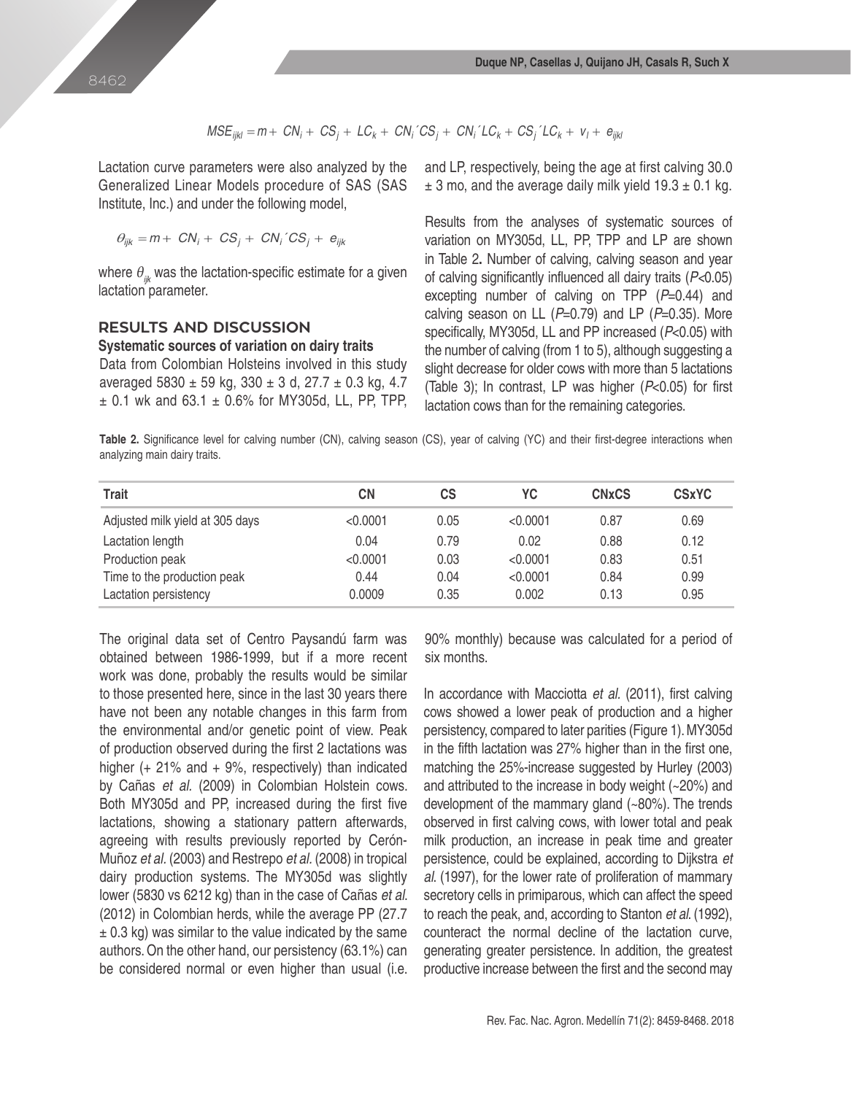$$
MSE_{ijkl} = m + CN_i + CS_j + LC_k + CN_i \cdot CS_j + CN_i \cdot LC_k + CS_j \cdot LC_k + v_l + e_{ijkl}
$$

Lactation curve parameters were also analyzed by the Generalized Linear Models procedure of SAS (SAS Institute, Inc.) and under the following model,

$$
\theta_{ijk} = m + CN_i + CS_j + CN_i \,^{\prime} CS_j + e_{ijk}
$$

where  $\theta_{ik}$  was the lactation-specific estimate for a given lactation parameter.

# **RESULTS AND DISCUSSION**

#### **Systematic sources of variation on dairy traits**

Data from Colombian Holsteins involved in this study averaged  $5830 \pm 59$  kg,  $330 \pm 3$  d,  $27.7 \pm 0.3$  kg, 4.7  $\pm$  0.1 wk and 63.1  $\pm$  0.6% for MY305d, LL, PP, TPP, and LP, respectively, being the age at first calving 30.0  $\pm$  3 mo, and the average daily milk yield 19.3  $\pm$  0.1 kg.

Results from the analyses of systematic sources of variation on MY305d, LL, PP, TPP and LP are shown in Table 2**.** Number of calving, calving season and year of calving significantly influenced all dairy traits (*P<*0.05) excepting number of calving on TPP (*P*=0.44) and calving season on LL (*P*=0.79) and LP (*P*=0.35). More specifically, MY305d, LL and PP increased (*P*<0.05) with the number of calving (from 1 to 5), although suggesting a slight decrease for older cows with more than 5 lactations (Table 3); In contrast, LP was higher (*P*<0.05) for first lactation cows than for the remaining categories.

**Table 2.** Significance level for calving number (CN), calving season (CS), year of calving (YC) and their first-degree interactions when analyzing main dairy traits.

| <b>Trait</b>                    | СN       | СS   | YC       | <b>CN<sub>x</sub>CS</b> | <b>CSxYC</b> |
|---------------------------------|----------|------|----------|-------------------------|--------------|
| Adjusted milk yield at 305 days | < 0.0001 | 0.05 | < 0.0001 | 0.87                    | 0.69         |
| Lactation length                | 0.04     | 0.79 | 0.02     | 0.88                    | 0.12         |
| Production peak                 | < 0.0001 | 0.03 | < 0.0001 | 0.83                    | 0.51         |
| Time to the production peak     | 0.44     | 0.04 | < 0.0001 | 0.84                    | 0.99         |
| Lactation persistency           | 0.0009   | 0.35 | 0.002    | 0.13                    | 0.95         |

The original data set of Centro Paysandú farm was obtained between 1986-1999, but if a more recent work was done, probably the results would be similar to those presented here, since in the last 30 years there have not been any notable changes in this farm from the environmental and/or genetic point of view. Peak of production observed during the first 2 lactations was higher ( $+ 21\%$  and  $+ 9\%$ , respectively) than indicated by Cañas *et al.* (2009) in Colombian Holstein cows. Both MY305d and PP, increased during the first five lactations, showing a stationary pattern afterwards, agreeing with results previously reported by Cerón-Muñoz *et al.* (2003) and Restrepo *et al.* (2008) in tropical dairy production systems. The MY305d was slightly lower (5830 vs 6212 kg) than in the case of Cañas *et al*. (2012) in Colombian herds, while the average PP (27.7  $\pm$  0.3 kg) was similar to the value indicated by the same authors. On the other hand, our persistency (63.1%) can be considered normal or even higher than usual (i.e. 90% monthly) because was calculated for a period of six months.

In accordance with Macciotta *et al.* (2011), first calving cows showed a lower peak of production and a higher persistency, compared to later parities (Figure 1). MY305d in the fifth lactation was 27% higher than in the first one, matching the 25%-increase suggested by Hurley (2003) and attributed to the increase in body weight (~20%) and development of the mammary gland (~80%). The trends observed in first calving cows, with lower total and peak milk production, an increase in peak time and greater persistence, could be explained, according to Dijkstra *et al*. (1997), for the lower rate of proliferation of mammary secretory cells in primiparous, which can affect the speed to reach the peak, and, according to Stanton *et al*. (1992), counteract the normal decline of the lactation curve, generating greater persistence. In addition, the greatest productive increase between the first and the second may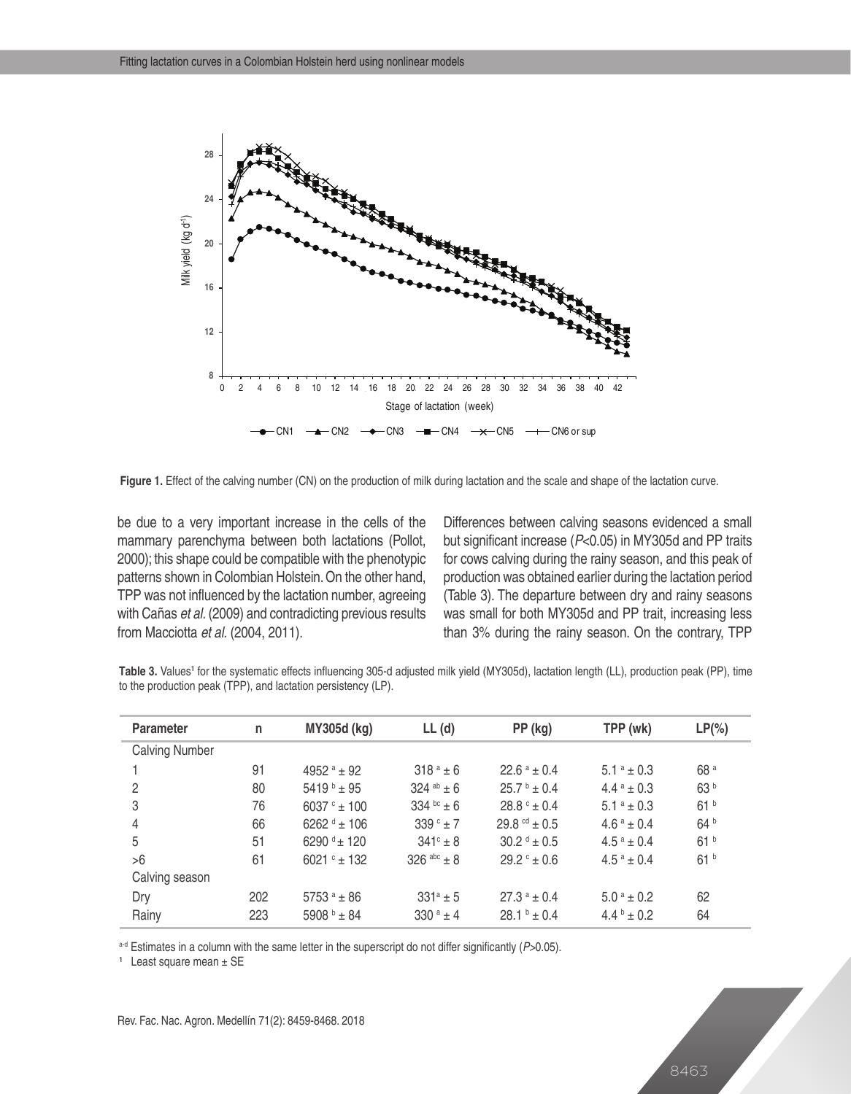

**Figure 1.** Effect of the calving number (CN) on the production of milk during lactation and the scale and shape of the lactation curve.

be due to a very important increase in the cells of the mammary parenchyma between both lactations (Pollot, 2000); this shape could be compatible with the phenotypic patterns shown in Colombian Holstein. On the other hand, TPP was not influenced by the lactation number, agreeing with Cañas *et al.* (2009) and contradicting previous results from Macciotta *et al.* (2004, 2011).

Differences between calving seasons evidenced a small but significant increase (*P*<0.05) in MY305d and PP traits for cows calving during the rainy season, and this peak of production was obtained earlier during the lactation period (Table 3). The departure between dry and rainy seasons was small for both MY305d and PP trait, increasing less than 3% during the rainy season. On the contrary, TPP

|  |  | Table 3. Values <sup>1</sup> for the systematic effects influencing 305-d adjusted milk yield (MY305d), lactation length (LL), production peak (PP), time |  |  |  |  |  |  |
|--|--|-----------------------------------------------------------------------------------------------------------------------------------------------------------|--|--|--|--|--|--|
|  |  | to the production peak (TPP), and lactation persistency (LP).                                                                                             |  |  |  |  |  |  |

| <b>Parameter</b>      | n   | <b>MY305d (kg)</b> | $LL$ (d)            | PP (kg)                    | TPP (wk)                            | $LP(\% )$       |
|-----------------------|-----|--------------------|---------------------|----------------------------|-------------------------------------|-----------------|
| <b>Calving Number</b> |     |                    |                     |                            |                                     |                 |
|                       | 91  | 4952 $^a$ ± 92     | $318a + 6$          | $22.6^{\text{ a}} \pm 0.4$ | $5.1^a \pm 0.3$                     | 68 <sup>a</sup> |
| 2                     | 80  | $5419 + 95$        | 324 ab $\pm$ 6      | $25.7^{\text{b}} + 0.4$    | $4.4^{\text{a}} \pm 0.3$            | 63 b            |
| 3                     | 76  | $6037° + 100$      | 334 bc $\pm 6$      | $28.8^{\circ} \pm 0.4$     | $5.1^a \pm 0.3$                     | 61 <sup>b</sup> |
| 4                     | 66  | $6262 + 106$       | 339 $^{\circ}$ ± 7  | $29.8^{\text{cd}} + 0.5$   | $4.6^a + 0.4$                       | 64 b            |
| 5                     | 51  | 6290 $4 \pm 120$   | $341^{\circ} \pm 8$ | $30.2^{\text{ d}} \pm 0.5$ | $4.5^{\text{a}} \pm 0.4$            | 61 <sup>b</sup> |
| >6                    | 61  | $6021° \pm 132$    | $326$ abc + 8       | $29.2^{\circ} \pm 0.6$     | $4.5^a + 0.4$                       | 61 <sup>b</sup> |
| Calving season        |     |                    |                     |                            |                                     |                 |
| Dry                   | 202 | 5753 $a + 86$      | $331^a \pm 5$       | $27.3^{\circ} \pm 0.4$     | $5.0^{\text{a}} \pm 0.2^{\text{c}}$ | 62              |
| Rainy                 | 223 | 5908 $+84$         | $330^a + 4$         | $28.1^{b} + 0.4$           | $4.4^{\circ} \pm 0.2$               | 64              |

a-d Estimates in a column with the same letter in the superscript do not differ significantly (*P>*0.05).

**1** Least square mean ± SE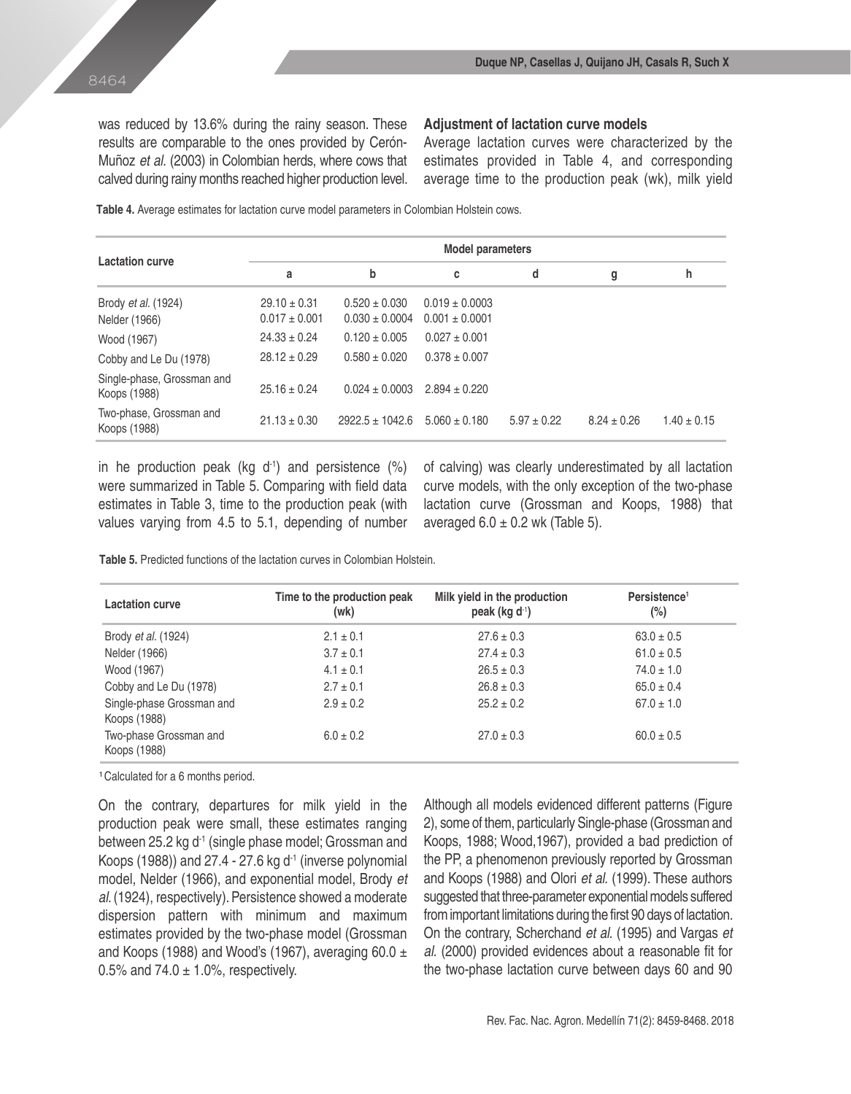was reduced by 13.6% during the rainy season. These results are comparable to the ones provided by Cerón-Muñoz *et al.* (2003) in Colombian herds, where cows that calved during rainy months reached higher production level.

## **Adjustment of lactation curve models**

Average lactation curves were characterized by the estimates provided in Table 4, and corresponding average time to the production peak (wk), milk yield

**Table 4.** Average estimates for lactation curve model parameters in Colombian Holstein cows.

|                                            | <b>Model parameters</b>               |                                         |                                          |                 |                 |                 |  |  |  |
|--------------------------------------------|---------------------------------------|-----------------------------------------|------------------------------------------|-----------------|-----------------|-----------------|--|--|--|
| <b>Lactation curve</b>                     | a                                     | b                                       | С                                        | d               | g               | h               |  |  |  |
| Brody et al. (1924)<br>Nelder (1966)       | $29.10 \pm 0.31$<br>$0.017 \pm 0.001$ | $0.520 \pm 0.030$<br>$0.030 \pm 0.0004$ | $0.019 \pm 0.0003$<br>$0.001 \pm 0.0001$ |                 |                 |                 |  |  |  |
| Wood (1967)                                | $24.33 \pm 0.24$                      | $0.120 \pm 0.005$                       | $0.027 \pm 0.001$                        |                 |                 |                 |  |  |  |
| Cobby and Le Du (1978)                     | $28.12 + 0.29$                        | $0.580 \pm 0.020$                       | $0.378 \pm 0.007$                        |                 |                 |                 |  |  |  |
| Single-phase, Grossman and<br>Koops (1988) | $25.16 \pm 0.24$                      | $0.024 \pm 0.0003$                      | $2.894 \pm 0.220$                        |                 |                 |                 |  |  |  |
| Two-phase, Grossman and<br>Koops (1988)    | $21.13 \pm 0.30$                      | $2922.5 + 1042.6$                       | $5.060 + 0.180$                          | $5.97 \pm 0.22$ | $8.24 \pm 0.26$ | $1.40 \pm 0.15$ |  |  |  |

in he production peak (kg  $d^{-1}$ ) and persistence (%) were summarized in Table 5. Comparing with field data estimates in Table 3, time to the production peak (with values varying from 4.5 to 5.1, depending of number of calving) was clearly underestimated by all lactation curve models, with the only exception of the two-phase lactation curve (Grossman and Koops, 1988) that averaged  $6.0 \pm 0.2$  wk (Table 5).

**Table 5.** Predicted functions of the lactation curves in Colombian Holstein.

| <b>Lactation curve</b>                    | Time to the production peak<br>(wk) | Milk yield in the production<br>peak (kg $d^1$ ) | Persistence <sup>1</sup><br>$(\%)$ |
|-------------------------------------------|-------------------------------------|--------------------------------------------------|------------------------------------|
| Brody <i>et al.</i> (1924)                | $2.1 \pm 0.1$                       | $27.6 \pm 0.3$                                   | $63.0 \pm 0.5$                     |
| Nelder (1966)                             | $3.7 \pm 0.1$                       | $27.4 \pm 0.3$                                   | $61.0 \pm 0.5$                     |
| Wood (1967)                               | $4.1 \pm 0.1$                       | $26.5 \pm 0.3$                                   | $74.0 \pm 1.0$                     |
| Cobby and Le Du (1978)                    | $2.7 \pm 0.1$                       | $26.8 \pm 0.3$                                   | $65.0 \pm 0.4$                     |
| Single-phase Grossman and<br>Koops (1988) | $2.9 \pm 0.2$                       | $25.2 \pm 0.2$                                   | $67.0 \pm 1.0$                     |
| Two-phase Grossman and<br>Koops (1988)    | $6.0 \pm 0.2$                       | $27.0 \pm 0.3$                                   | $60.0 \pm 0.5$                     |

**<sup>1</sup>**Calculated for a 6 months period.

On the contrary, departures for milk yield in the production peak were small, these estimates ranging between 25.2 kg d<sup>-1</sup> (single phase model; Grossman and Koops (1988)) and  $27.4 - 27.6$  kg d<sup>-1</sup> (inverse polynomial model, Nelder (1966), and exponential model, Brody *et al*. (1924), respectively). Persistence showed a moderate dispersion pattern with minimum and maximum estimates provided by the two-phase model (Grossman and Koops (1988) and Wood's (1967), averaging 60.0  $\pm$ 0.5% and  $74.0 \pm 1.0$ %, respectively.

Although all models evidenced different patterns (Figure 2), some of them, particularly Single-phase (Grossman and Koops, 1988; Wood,1967), provided a bad prediction of the PP, a phenomenon previously reported by Grossman and Koops (1988) and Olori *et al.* (1999). These authors suggested that three-parameter exponential models suffered from important limitations during the first 90 days of lactation. On the contrary, Scherchand *et al.* (1995) and Vargas *et al.* (2000) provided evidences about a reasonable fit for the two-phase lactation curve between days 60 and 90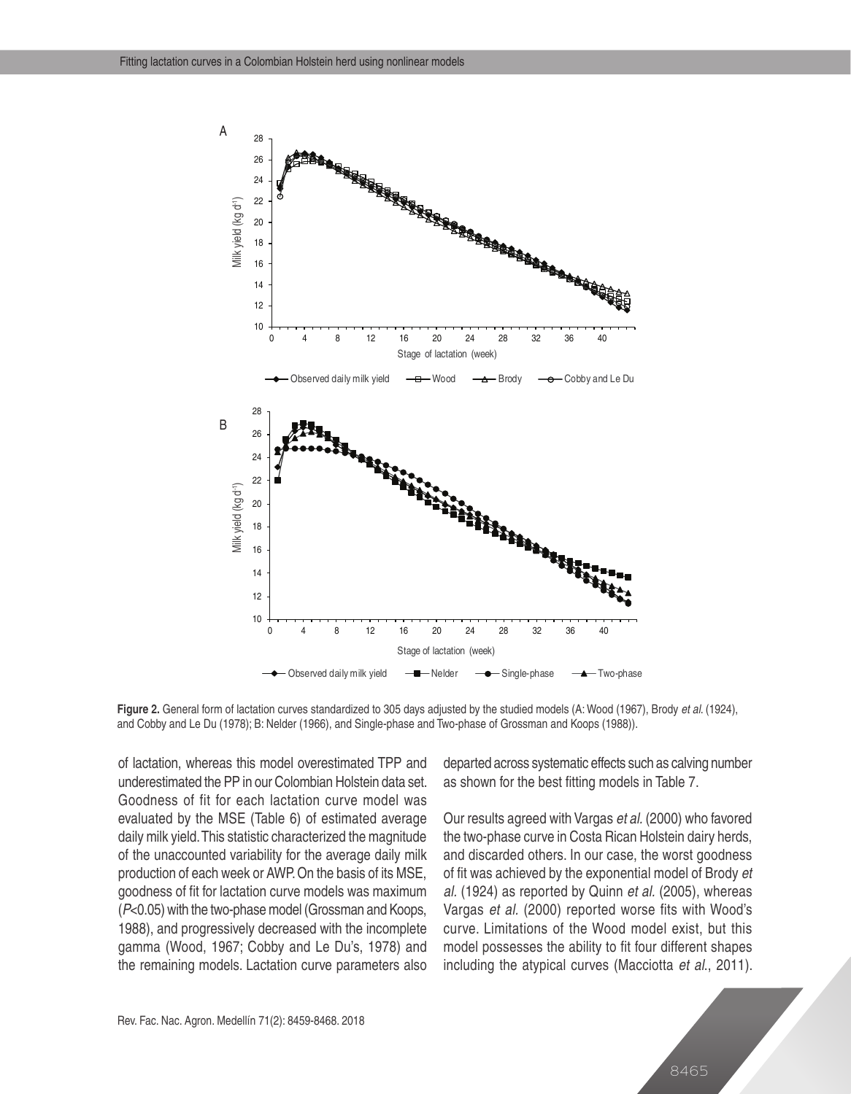

**Figure 2.** General form of lactation curves standardized to 305 days adjusted by the studied models (A: Wood (1967), Brody *et al*. (1924), and Cobby and Le Du (1978); B: Nelder (1966), and Single-phase and Two-phase of Grossman and Koops (1988)).

of lactation, whereas this model overestimated TPP and underestimated the PP in our Colombian Holstein data set. Goodness of fit for each lactation curve model was evaluated by the MSE (Table 6) of estimated average daily milk yield. This statistic characterized the magnitude of the unaccounted variability for the average daily milk production of each week or AWP. On the basis of its MSE, goodness of fit for lactation curve models was maximum (*P*<0.05) with the two-phase model (Grossman and Koops, 1988), and progressively decreased with the incomplete gamma (Wood, 1967; Cobby and Le Du's, 1978) and the remaining models. Lactation curve parameters also departed across systematic effects such as calving number as shown for the best fitting models in Table 7.

Our results agreed with Vargas *et al.* (2000) who favored the two-phase curve in Costa Rican Holstein dairy herds, and discarded others. In our case, the worst goodness of fit was achieved by the exponential model of Brody *et al.* (1924) as reported by Quinn *et al.* (2005), whereas Vargas *et al.* (2000) reported worse fits with Wood's curve. Limitations of the Wood model exist, but this model possesses the ability to fit four different shapes including the atypical curves (Macciotta *et al*., 2011).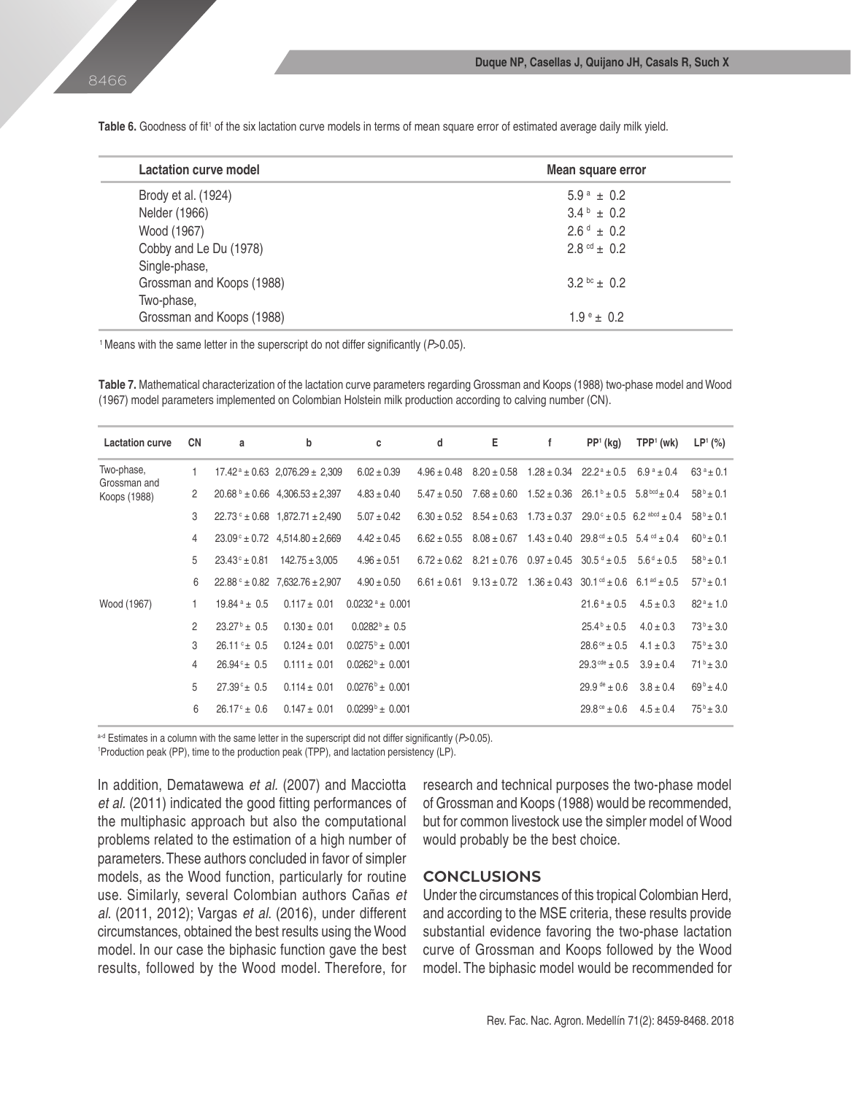**Lactation curve model Mean square error** Brody et al. (1924)  $5.9^{\text{a}} \pm 0.2$ Nelder (1966)  $3.4^{b} \pm 0.2$ Wood (1967)  $26d + 0.2$ Cobby and Le Du (1978) 2.8  $\mathrm{ct}$  2.8  $\mathrm{ct}$   $\pm$  0.2 Single-phase, Grossman and Koops (1988)  $3.2^{bc} \pm 0.2$ Two-phase, Grossman and Koops (1988)  $1.9^{\circ}$  ± 0.2

**Table 6.** Goodness of fit' of the six lactation curve models in terms of mean square error of estimated average daily milk yield.

<sup>1</sup> Means with the same letter in the superscript do not differ significantly (P>0.05).

**Table 7.** Mathematical characterization of the lactation curve parameters regarding Grossman and Koops (1988) two-phase model and Wood (1967) model parameters implemented on Colombian Holstein milk production according to calving number (CN).

| <b>Lactation curve</b>     | <b>CN</b>      | a                           | b                                                | c                             | d               | Е                                                                                                    | f | $PP1$ (kg)                                                                       | $TPP1$ (wk)              | LP <sup>1</sup> (%) |
|----------------------------|----------------|-----------------------------|--------------------------------------------------|-------------------------------|-----------------|------------------------------------------------------------------------------------------------------|---|----------------------------------------------------------------------------------|--------------------------|---------------------|
| Two-phase,<br>Grossman and |                |                             | $17.42^{\text{a}} \pm 0.63$ 2,076.29 $\pm$ 2,309 | $6.02 \pm 0.39$               |                 | $4.96 \pm 0.48$ $8.20 \pm 0.58$ $1.28 \pm 0.34$ $22.2^{\circ} \pm 0.5$                               |   |                                                                                  | $6.9^{\text{a}} \pm 0.4$ | $63^a \pm 0.1$      |
| Koops (1988)               | $\overline{2}$ |                             | $20.68^{\circ} \pm 0.66$ 4,306.53 $\pm 2,397$    | $4.83 \pm 0.40$               |                 | $5.47 \pm 0.50$ $7.68 \pm 0.60$                                                                      |   | $1.52 \pm 0.36$ $26.1^{\circ} \pm 0.5$ $5.8^{\text{bcd}} \pm 0.4$                |                          | $58^b \pm 0.1$      |
|                            | 3              |                             | $22.73$ ° ± 0.68 1.872.71 ± 2.490                | $5.07 \pm 0.42$               |                 | $6.30 \pm 0.52$ $8.54 \pm 0.63$ $1.73 \pm 0.37$ $29.0$ ° $\pm 0.5$ 6.2 abod $\pm 0.4$                |   |                                                                                  |                          | $58^{b} \pm 0.1$    |
|                            | 4              |                             | $23.09^{\circ} \pm 0.72$ 4,514.80 $\pm 2,669$    | $4.42 \pm 0.45$               |                 | $6.62 \pm 0.55$ $8.08 \pm 0.67$ $1.43 \pm 0.40$ $29.8^{\text{cd}} \pm 0.5$ $5.4^{\text{cd}} \pm 0.4$ |   |                                                                                  |                          | $60^{b} \pm 0.1$    |
|                            | 5              | $23.43^{\circ} \pm 0.81$    | $142.75 \pm 3.005$                               | $4.96 \pm 0.51$               |                 | $6.72 \pm 0.62$ $8.21 \pm 0.76$ $0.97 \pm 0.45$ $30.5$ d $\pm 0.5$                                   |   |                                                                                  | $5.6^{\rm d} \pm 0.5$    | $58^b \pm 0.1$      |
|                            | 6              |                             | $22.88^{\circ} \pm 0.82$ 7,632.76 $\pm 2,907$    | $4.90 \pm 0.50$               | $6.61 \pm 0.61$ |                                                                                                      |   | $9.13 \pm 0.72$ $1.36 \pm 0.43$ $30.1^{\circ d} \pm 0.6$ $6.1^{\circ d} \pm 0.5$ |                          | $57^b \pm 0.1$      |
| Wood (1967)                |                | $19.84^{\text{ a}} \pm 0.5$ | $0.117 \pm 0.01$                                 | $0.0232$ <sup>a</sup> ± 0.001 |                 |                                                                                                      |   | $21.6^a \pm 0.5$                                                                 | $4.5 \pm 0.3$            | $82^a \pm 1.0$      |
|                            | $\mathfrak{p}$ | $23.27^{\circ}$ ± 0.5       | $0.130 \pm 0.01$                                 | $0.0282^b \pm 0.5$            |                 |                                                                                                      |   | $25.4^{\circ} \pm 0.5$                                                           | $4.0 \pm 0.3$            | $73^{b} \pm 3.0$    |
|                            | 3              | $26.11 \div 0.5$            | $0.124 \pm 0.01$                                 | $0.0275^{\circ}$ ± 0.001      |                 |                                                                                                      |   | $28.6^{\circ} \pm 0.5$                                                           | $4.1 \pm 0.3$            | $75^{\rm b}$ ± 3.0  |
|                            | 4              | $26.94^{\circ} \pm 0.5$     | $0.111 \pm 0.01$                                 | $0.0262^{\circ}$ ± 0.001      |                 |                                                                                                      |   | $29.3^{\text{cde}} \pm 0.5$                                                      | $3.9 \pm 0.4$            | $71^b \pm 3.0$      |
|                            | 5              | $27.39^{\circ}$ ± 0.5       | $0.114 \pm 0.01$                                 | $0.0276^{\circ}$ ± 0.001      |                 |                                                                                                      |   | $29.9^{\text{de}} \pm 0.6$                                                       | $3.8 \pm 0.4$            | $69^{\rm b}$ ± 4.0  |
|                            | 6              | $26.17^{\circ}$ ± 0.6       | $0.147 \pm 0.01$                                 | $0.0299^{\circ}$ ± 0.001      |                 |                                                                                                      |   | $29.8^{\circ} \pm 0.6$                                                           | $4.5 \pm 0.4$            | $75^{\rm b}$ ± 3.0  |

a-d Estimates in a column with the same letter in the superscript did not differ significantly (P>0.05).

1 Production peak (PP), time to the production peak (TPP), and lactation persistency (LP).

In addition, Dematawewa *et al.* (2007) and Macciotta *et al.* (2011) indicated the good fitting performances of the multiphasic approach but also the computational problems related to the estimation of a high number of parameters. These authors concluded in favor of simpler models, as the Wood function, particularly for routine use. Similarly, several Colombian authors Cañas *et al*. (2011, 2012); Vargas *et al*. (2016), under different circumstances, obtained the best results using the Wood model. In our case the biphasic function gave the best results, followed by the Wood model. Therefore, for research and technical purposes the two-phase model of Grossman and Koops (1988) would be recommended, but for common livestock use the simpler model of Wood would probably be the best choice.

# **CONCLUSIONS**

Under the circumstances of this tropical Colombian Herd, and according to the MSE criteria, these results provide substantial evidence favoring the two-phase lactation curve of Grossman and Koops followed by the Wood model. The biphasic model would be recommended for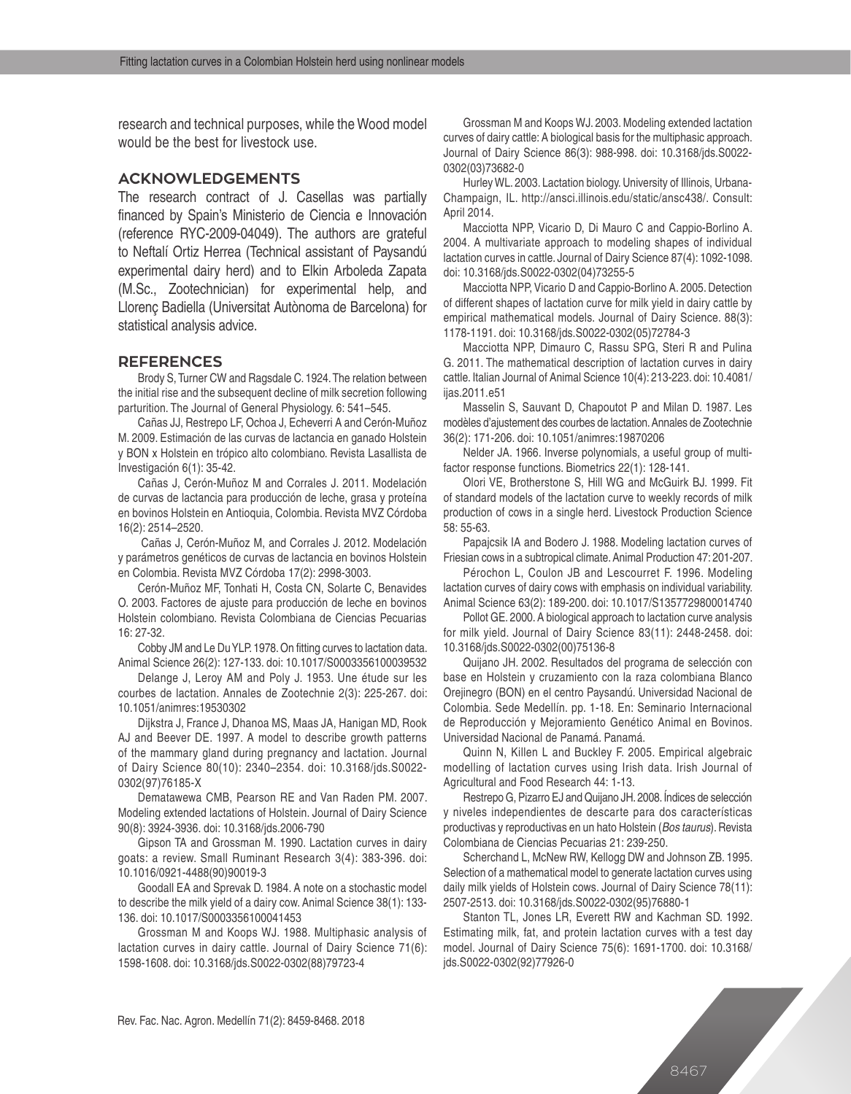research and technical purposes, while the Wood model would be the best for livestock use.

# **ACKNOWLEDGEMENTS**

The research contract of J. Casellas was partially financed by Spain's Ministerio de Ciencia e Innovación (reference RYC-2009-04049). The authors are grateful to Neftalí Ortiz Herrea (Technical assistant of Paysandú experimental dairy herd) and to Elkin Arboleda Zapata (M.Sc., Zootechnician) for experimental help, and Llorenç Badiella (Universitat Autònoma de Barcelona) for statistical analysis advice.

#### **REFERENCES**

Brody S, Turner CW and Ragsdale C. 1924. The relation between the initial rise and the subsequent decline of milk secretion following parturition. The Journal of General Physiology. 6: 541–545.

Cañas JJ, Restrepo LF, Ochoa J, Echeverri A and Cerón-Muñoz M. 2009. Estimación de las curvas de lactancia en ganado Holstein y BON x Holstein en trópico alto colombiano. Revista Lasallista de Investigación 6(1): 35-42.

Cañas J, Cerón-Muñoz M and Corrales J. 2011. Modelación de curvas de lactancia para producción de leche, grasa y proteína en bovinos Holstein en Antioquia, Colombia. Revista MVZ Córdoba 16(2): 2514–2520.

 Cañas J, Cerón-Muñoz M, and Corrales J. 2012. Modelación y parámetros genéticos de curvas de lactancia en bovinos Holstein en Colombia. Revista MVZ Córdoba 17(2): 2998-3003.

Cerón-Muñoz MF, Tonhati H, Costa CN, Solarte C, Benavides O. 2003. Factores de ajuste para producción de leche en bovinos Holstein colombiano. Revista Colombiana de Ciencias Pecuarias 16: 27-32.

Cobby JM and Le Du YLP. 1978. On fitting curves to lactation data. Animal Science 26(2): 127-133. doi: 10.1017/S0003356100039532

Delange J, Leroy AM and Poly J. 1953. Une étude sur les courbes de lactation. Annales de Zootechnie 2(3): 225-267. doi: 10.1051/animres:19530302

Dijkstra J, France J, Dhanoa MS, Maas JA, Hanigan MD, Rook AJ and Beever DE. 1997. A model to describe growth patterns of the mammary gland during pregnancy and lactation. Journal of Dairy Science 80(10): 2340–2354. doi: 10.3168/jds.S0022- 0302(97)76185-X

Dematawewa CMB, Pearson RE and Van Raden PM. 2007. Modeling extended lactations of Holstein. Journal of Dairy Science 90(8): 3924-3936. doi: 10.3168/jds.2006-790

Gipson TA and Grossman M. 1990. Lactation curves in dairy goats: a review. Small Ruminant Research 3(4): 383-396. doi: 10.1016/0921-4488(90)90019-3

Goodall EA and Sprevak D. 1984. A note on a stochastic model to describe the milk yield of a dairy cow. Animal Science 38(1): 133- 136. doi: 10.1017/S0003356100041453

Grossman M and Koops WJ. 1988. Multiphasic analysis of lactation curves in dairy cattle. Journal of Dairy Science 71(6): 1598-1608. doi: 10.3168/jds.S0022-0302(88)79723-4

Grossman M and Koops WJ. 2003. Modeling extended lactation curves of dairy cattle: A biological basis for the multiphasic approach. Journal of Dairy Science 86(3): 988-998. doi: 10.3168/jds.S0022- 0302(03)73682-0

Hurley WL. 2003. Lactation biology. University of Illinois, Urbana-Champaign, IL. http://ansci.illinois.edu/static/ansc438/. Consult: April 2014.

Macciotta NPP, Vicario D, Di Mauro C and Cappio-Borlino A. 2004. A multivariate approach to modeling shapes of individual lactation curves in cattle. Journal of Dairy Science 87(4): 1092-1098. doi: 10.3168/jds.S0022-0302(04)73255-5

Macciotta NPP, Vicario D and Cappio-Borlino A. 2005. Detection of different shapes of lactation curve for milk yield in dairy cattle by empirical mathematical models. Journal of Dairy Science. 88(3): 1178-1191. doi: 10.3168/jds.S0022-0302(05)72784-3

Macciotta NPP, Dimauro C, Rassu SPG, Steri R and Pulina G. 2011. The mathematical description of lactation curves in dairy cattle. Italian Journal of Animal Science 10(4): 213-223. doi: 10.4081/ ijas.2011.e51

Masselin S, Sauvant D, Chapoutot P and Milan D. 1987. Les modèles d'ajustement des courbes de lactation. Annales de Zootechnie 36(2): 171-206. doi: 10.1051/animres:19870206

Nelder JA. 1966. Inverse polynomials, a useful group of multifactor response functions. Biometrics 22(1): 128-141.

Olori VE, Brotherstone S, Hill WG and McGuirk BJ. 1999. Fit of standard models of the lactation curve to weekly records of milk production of cows in a single herd. Livestock Production Science 58: 55-63.

Papajcsik IA and Bodero J. 1988. Modeling lactation curves of Friesian cows in a subtropical climate. Animal Production 47: 201-207.

Pérochon L, Coulon JB and Lescourret F. 1996. Modeling lactation curves of dairy cows with emphasis on individual variability. Animal Science 63(2): 189-200. doi: 10.1017/S1357729800014740

Pollot GE. 2000. A biological approach to lactation curve analysis for milk yield. Journal of Dairy Science 83(11): 2448-2458. doi: 10.3168/jds.S0022-0302(00)75136-8

Quijano JH. 2002. Resultados del programa de selección con base en Holstein y cruzamiento con la raza colombiana Blanco Orejinegro (BON) en el centro Paysandú. Universidad Nacional de Colombia. Sede Medellín. pp. 1-18. En: Seminario Internacional de Reproducción y Mejoramiento Genético Animal en Bovinos. Universidad Nacional de Panamá. Panamá.

Quinn N, Killen L and Buckley F. 2005. Empirical algebraic modelling of lactation curves using Irish data. Irish Journal of Agricultural and Food Research 44: 1-13.

Restrepo G, Pizarro EJ and Quijano JH. 2008. Índices de selección y niveles independientes de descarte para dos características productivas y reproductivas en un hato Holstein (*Bos taurus*). Revista Colombiana de Ciencias Pecuarias 21: 239-250.

Scherchand L, McNew RW, Kellogg DW and Johnson ZB. 1995. Selection of a mathematical model to generate lactation curves using daily milk yields of Holstein cows. Journal of Dairy Science 78(11): 2507-2513. doi: 10.3168/jds.S0022-0302(95)76880-1

Stanton TL, Jones LR, Everett RW and Kachman SD. 1992. Estimating milk, fat, and protein lactation curves with a test day model. Journal of Dairy Science 75(6): 1691-1700. doi: 10.3168/ jds.S0022-0302(92)77926-0